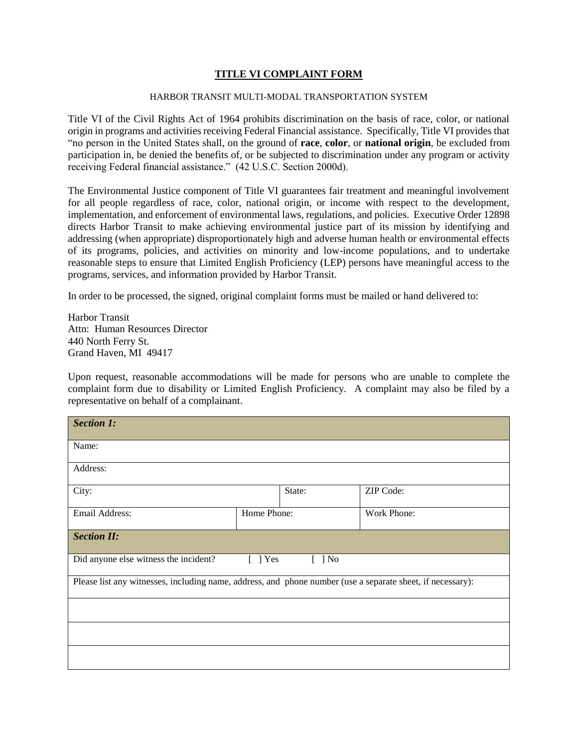## **TITLE VI COMPLAINT FORM**

## HARBOR TRANSIT MULTI-MODAL TRANSPORTATION SYSTEM

Title VI of the Civil Rights Act of 1964 prohibits discrimination on the basis of race, color, or national origin in programs and activities receiving Federal Financial assistance. Specifically, Title VI provides that "no person in the United States shall, on the ground of **race**, **color**, or **national origin**, be excluded from participation in, be denied the benefits of, or be subjected to discrimination under any program or activity receiving Federal financial assistance." (42 U.S.C. Section 2000d).

The Environmental Justice component of Title VI guarantees fair treatment and meaningful involvement for all people regardless of race, color, national origin, or income with respect to the development, implementation, and enforcement of environmental laws, regulations, and policies. Executive Order 12898 directs Harbor Transit to make achieving environmental justice part of its mission by identifying and addressing (when appropriate) disproportionately high and adverse human health or environmental effects of its programs, policies, and activities on minority and low-income populations, and to undertake reasonable steps to ensure that Limited English Proficiency (LEP) persons have meaningful access to the programs, services, and information provided by Harbor Transit.

In order to be processed, the signed, original complaint forms must be mailed or hand delivered to:

Harbor Transit Attn: Human Resources Director 440 North Ferry St. Grand Haven, MI 49417

Upon request, reasonable accommodations will be made for persons who are unable to complete the complaint form due to disability or Limited English Proficiency. A complaint may also be filed by a representative on behalf of a complainant.

| <b>Section 1:</b>                                                                                          |             |        |             |  |
|------------------------------------------------------------------------------------------------------------|-------------|--------|-------------|--|
| Name:                                                                                                      |             |        |             |  |
| Address:                                                                                                   |             |        |             |  |
| City:                                                                                                      |             | State: | ZIP Code:   |  |
| Email Address:                                                                                             | Home Phone: |        | Work Phone: |  |
| <b>Section II:</b>                                                                                         |             |        |             |  |
| Did anyone else witness the incident?<br>$[ ]$ No<br>$[$ ] Yes                                             |             |        |             |  |
| Please list any witnesses, including name, address, and phone number (use a separate sheet, if necessary): |             |        |             |  |
|                                                                                                            |             |        |             |  |
|                                                                                                            |             |        |             |  |
|                                                                                                            |             |        |             |  |